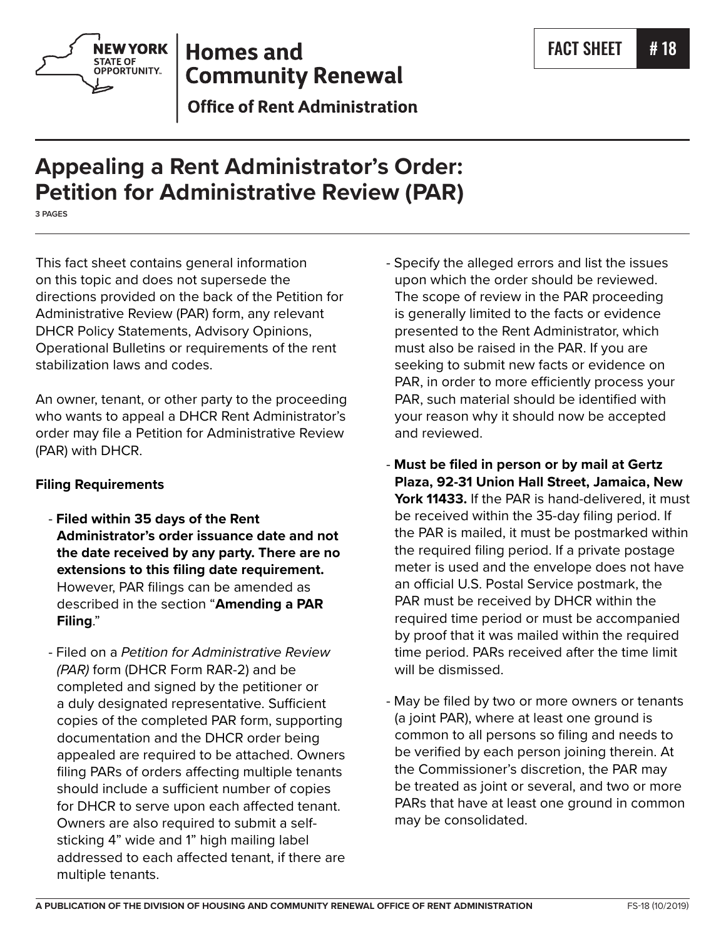

# **Homes and Community Renewal**

**Office of Rent Administration** 

# **Appealing a Rent Administrator's Order: Petition for Administrative Review (PAR)**

**3 PAGES**

This fact sheet contains general information on this topic and does not supersede the directions provided on the back of the Petition for Administrative Review (PAR) form, any relevant DHCR Policy Statements, Advisory Opinions, Operational Bulletins or requirements of the rent stabilization laws and codes.

An owner, tenant, or other party to the proceeding who wants to appeal a DHCR Rent Administrator's order may file a Petition for Administrative Review (PAR) with DHCR.

### **Filing Requirements**

- **Filed within 35 days of the Rent Administrator's order issuance date and not the date received by any party. There are no extensions to this filing date requirement.** However, PAR filings can be amended as described in the section "**Amending a PAR Filing**."
- Filed on a *Petition for Administrative Review (PAR)* form (DHCR Form RAR-2) and be completed and signed by the petitioner or a duly designated representative. Sufficient copies of the completed PAR form, supporting documentation and the DHCR order being appealed are required to be attached. Owners filing PARs of orders affecting multiple tenants should include a sufficient number of copies for DHCR to serve upon each affected tenant. Owners are also required to submit a selfsticking 4" wide and 1" high mailing label addressed to each affected tenant, if there are multiple tenants.
- Specify the alleged errors and list the issues upon which the order should be reviewed. The scope of review in the PAR proceeding is generally limited to the facts or evidence presented to the Rent Administrator, which must also be raised in the PAR. If you are seeking to submit new facts or evidence on PAR, in order to more efficiently process your PAR, such material should be identified with your reason why it should now be accepted and reviewed.
- **Must be filed in person or by mail at Gertz Plaza, 92-31 Union Hall Street, Jamaica, New York 11433.** If the PAR is hand-delivered, it must be received within the 35-day filing period. If the PAR is mailed, it must be postmarked within the required filing period. If a private postage meter is used and the envelope does not have an official U.S. Postal Service postmark, the PAR must be received by DHCR within the required time period or must be accompanied by proof that it was mailed within the required time period. PARs received after the time limit will be dismissed.
- May be filed by two or more owners or tenants (a joint PAR), where at least one ground is common to all persons so filing and needs to be verified by each person joining therein. At the Commissioner's discretion, the PAR may be treated as joint or several, and two or more PARs that have at least one ground in common may be consolidated.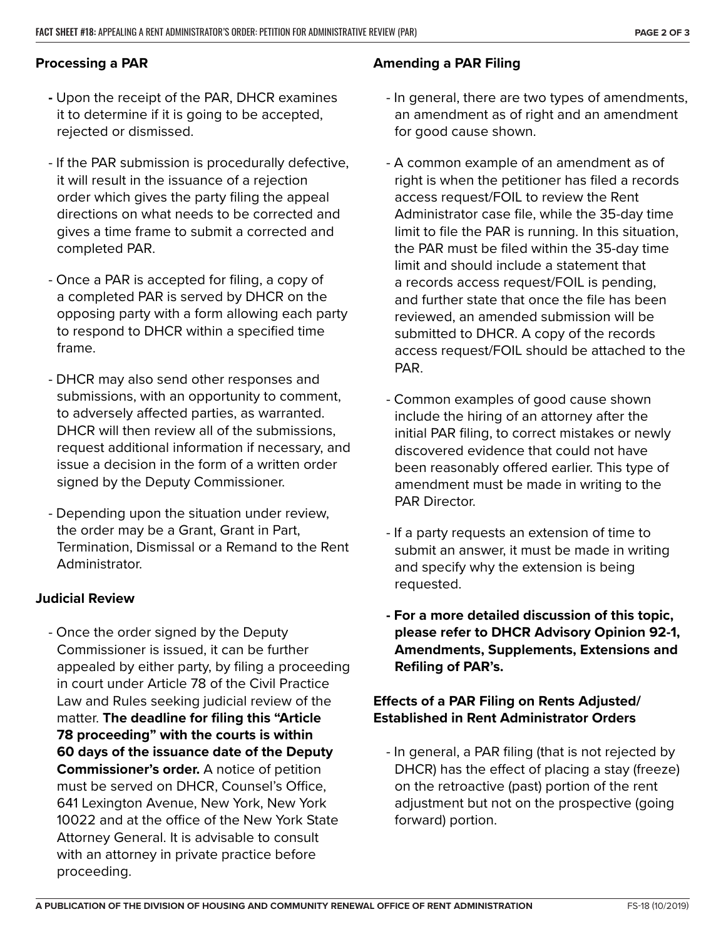#### **Processing a PAR**

- Upon the receipt of the PAR, DHCR examines it to determine if it is going to be accepted, rejected or dismissed.
- If the PAR submission is procedurally defective, it will result in the issuance of a rejection order which gives the party filing the appeal directions on what needs to be corrected and gives a time frame to submit a corrected and completed PAR.
- Once a PAR is accepted for filing, a copy of a completed PAR is served by DHCR on the opposing party with a form allowing each party to respond to DHCR within a specified time frame.
- DHCR may also send other responses and submissions, with an opportunity to comment, to adversely affected parties, as warranted. DHCR will then review all of the submissions, request additional information if necessary, and issue a decision in the form of a written order signed by the Deputy Commissioner.
- Depending upon the situation under review, the order may be a Grant, Grant in Part, Termination, Dismissal or a Remand to the Rent Administrator.

#### **Judicial Review**

- Once the order signed by the Deputy Commissioner is issued, it can be further appealed by either party, by filing a proceeding in court under Article 78 of the Civil Practice Law and Rules seeking judicial review of the matter. **The deadline for filing this "Article 78 proceeding" with the courts is within 60 days of the issuance date of the Deputy Commissioner's order.** A notice of petition must be served on DHCR, Counsel's Office, 641 Lexington Avenue, New York, New York 10022 and at the office of the New York State Attorney General. It is advisable to consult with an attorney in private practice before proceeding.

#### **Amending a PAR Filing**

- In general, there are two types of amendments, an amendment as of right and an amendment for good cause shown.
- A common example of an amendment as of right is when the petitioner has filed a records access request/FOIL to review the Rent Administrator case file, while the 35-day time limit to file the PAR is running. In this situation, the PAR must be filed within the 35-day time limit and should include a statement that a records access request/FOIL is pending, and further state that once the file has been reviewed, an amended submission will be submitted to DHCR. A copy of the records access request/FOIL should be attached to the PAR.
- Common examples of good cause shown include the hiring of an attorney after the initial PAR filing, to correct mistakes or newly discovered evidence that could not have been reasonably offered earlier. This type of amendment must be made in writing to the PAR Director.
- If a party requests an extension of time to submit an answer, it must be made in writing and specify why the extension is being requested.
- **For a more detailed discussion of this topic, please refer to DHCR Advisory Opinion 92-1, Amendments, Supplements, Extensions and Refiling of PAR's.**

#### **Effects of a PAR Filing on Rents Adjusted/ Established in Rent Administrator Orders**

- In general, a PAR filing (that is not rejected by DHCR) has the effect of placing a stay (freeze) on the retroactive (past) portion of the rent adjustment but not on the prospective (going forward) portion.